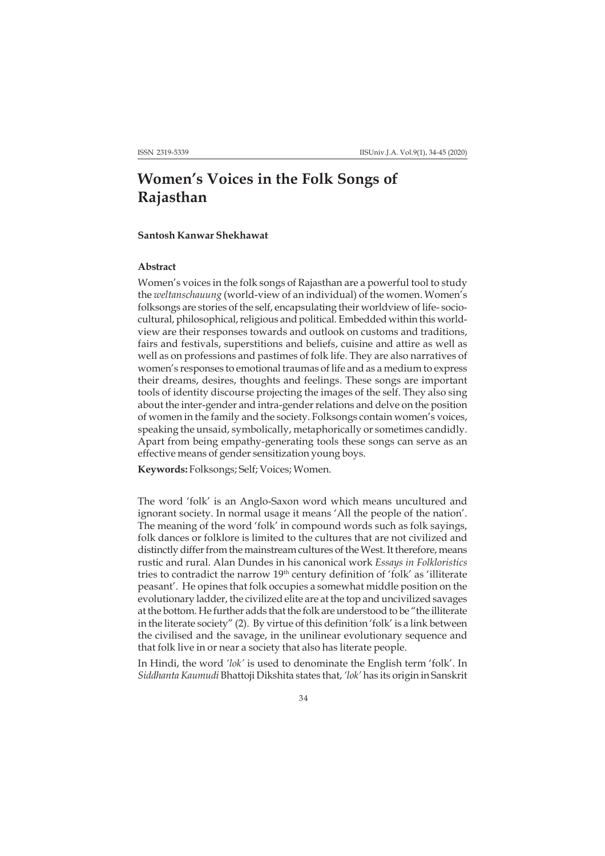# **Women's Voices in the Folk Songs of Rajasthan**

## **Santosh Kanwar Shekhawat**

#### **Abstract**

Women's voices in the folk songs of Rajasthan are a powerful tool to study the *weltanschauung* (world-view of an individual) of the women. Women's folksongs are stories of the self, encapsulating their worldview of life- sociocultural, philosophical, religious and political. Embedded within this worldview are their responses towards and outlook on customs and traditions, fairs and festivals, superstitions and beliefs, cuisine and attire as well as well as on professions and pastimes of folk life. They are also narratives of women's responses to emotional traumas of life and as a medium to express their dreams, desires, thoughts and feelings. These songs are important tools of identity discourse projecting the images of the self. They also sing about the inter-gender and intra-gender relations and delve on the position of women in the family and the society. Folksongs contain women's voices, speaking the unsaid, symbolically, metaphorically or sometimes candidly. Apart from being empathy-generating tools these songs can serve as an effective means of gender sensitization young boys.

**Keywords:** Folksongs; Self; Voices; Women.

The word 'folk' is an Anglo-Saxon word which means uncultured and ignorant society. In normal usage it means 'All the people of the nation'. The meaning of the word 'folk' in compound words such as folk sayings, folk dances or folklore is limited to the cultures that are not civilized and distinctly differ from the mainstream cultures of the West. It therefore, means rustic and rural. Alan Dundes in his canonical work *Essays in Folkloristics* tries to contradict the narrow 19<sup>th</sup> century definition of 'folk' as 'illiterate peasant'. He opines that folk occupies a somewhat middle position on the evolutionary ladder, the civilized elite are at the top and uncivilized savages at the bottom. He further adds that the folk are understood to be "the illiterate in the literate society" (2). By virtue of this definition 'folk' is a link between the civilised and the savage, in the unilinear evolutionary sequence and that folk live in or near a society that also has literate people.

In Hindi, the word *'lok'* is used to denominate the English term 'folk'. In *Siddhanta Kaumudi* Bhattoji Dikshita states that, *'lok'* has its origin in Sanskrit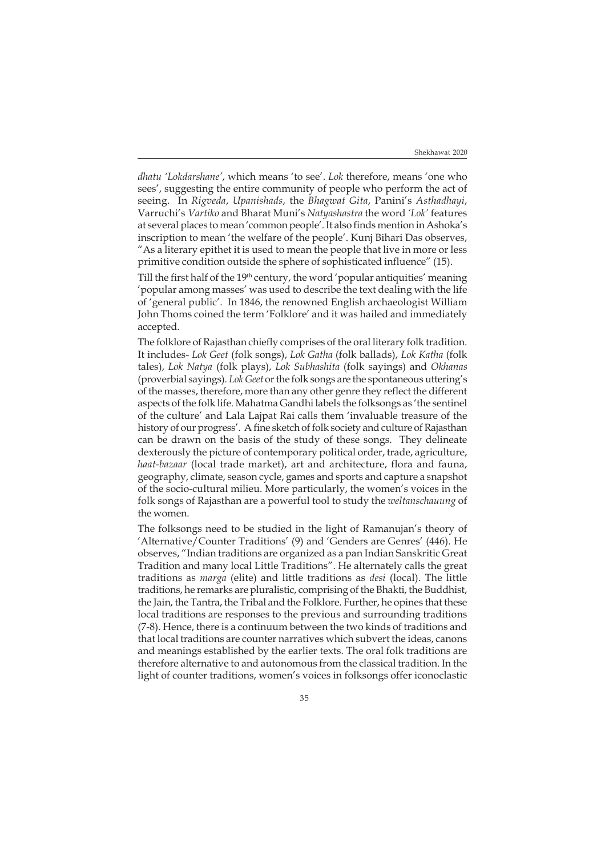*dhatu 'Lokdarshane'*, which means 'to see'. *Lok* therefore, means 'one who sees', suggesting the entire community of people who perform the act of seeing. In *Rigveda*, *Upanishads*, the *Bhagwat Gita*, Panini's *Asthadhayi*, Varruchi's *Vartiko* and Bharat Muni's *Natyashastra* the word *'Lok'* features at several places to mean 'common people'. It also finds mention in Ashoka's inscription to mean 'the welfare of the people'. Kunj Bihari Das observes, "As a literary epithet it is used to mean the people that live in more or less primitive condition outside the sphere of sophisticated influence" (15).

Till the first half of the 19th century, the word 'popular antiquities' meaning 'popular among masses' was used to describe the text dealing with the life of 'general public'. In 1846, the renowned English archaeologist William John Thoms coined the term 'Folklore' and it was hailed and immediately accepted.

The folklore of Rajasthan chiefly comprises of the oral literary folk tradition. It includes- *Lok Geet* (folk songs), *Lok Gatha* (folk ballads), *Lok Katha* (folk tales), *Lok Natya* (folk plays), *Lok Subhashita* (folk sayings) and *Okhanas* (proverbial sayings). *Lok Geet* or the folk songs are the spontaneous uttering's of the masses, therefore, more than any other genre they reflect the different aspects of the folk life. Mahatma Gandhi labels the folksongs as 'the sentinel of the culture' and Lala Lajpat Rai calls them 'invaluable treasure of the history of our progress'. A fine sketch of folk society and culture of Rajasthan can be drawn on the basis of the study of these songs. They delineate dexterously the picture of contemporary political order, trade, agriculture, *haat-bazaar* (local trade market), art and architecture, flora and fauna, geography, climate, season cycle, games and sports and capture a snapshot of the socio-cultural milieu. More particularly, the women's voices in the folk songs of Rajasthan are a powerful tool to study the *weltanschauung* of the women.

The folksongs need to be studied in the light of Ramanujan's theory of 'Alternative/Counter Traditions' (9) and 'Genders are Genres' (446). He observes, "Indian traditions are organized as a pan Indian Sanskritic Great Tradition and many local Little Traditions". He alternately calls the great traditions as *marga* (elite) and little traditions as *desi* (local). The little traditions, he remarks are pluralistic, comprising of the Bhakti, the Buddhist, the Jain, the Tantra, the Tribal and the Folklore. Further, he opines that these local traditions are responses to the previous and surrounding traditions (7-8). Hence, there is a continuum between the two kinds of traditions and that local traditions are counter narratives which subvert the ideas, canons and meanings established by the earlier texts. The oral folk traditions are therefore alternative to and autonomous from the classical tradition. In the light of counter traditions, women's voices in folksongs offer iconoclastic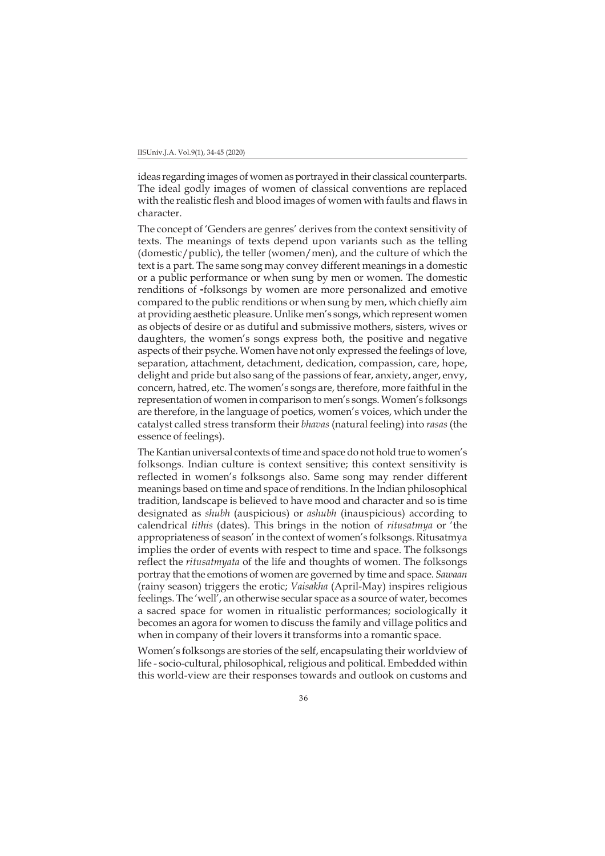ideas regarding images of women as portrayed in their classical counterparts. The ideal godly images of women of classical conventions are replaced with the realistic flesh and blood images of women with faults and flaws in character.

The concept of 'Genders are genres' derives from the context sensitivity of texts. The meanings of texts depend upon variants such as the telling (domestic/public), the teller (women/men), and the culture of which the text is a part. The same song may convey different meanings in a domestic or a public performance or when sung by men or women. The domestic renditions of folksongs by women are more personalized and emotive compared to the public renditions or when sung by men, which chiefly aim at providing aesthetic pleasure. Unlike men's songs, which represent women as objects of desire or as dutiful and submissive mothers, sisters, wives or daughters, the women's songs express both, the positive and negative aspects of their psyche. Women have not only expressed the feelings of love, separation, attachment, detachment, dedication, compassion, care, hope, delight and pride but also sang of the passions of fear, anxiety, anger, envy, concern, hatred, etc. The women's songs are, therefore, more faithful in the representation of women in comparison to men's songs. Women's folksongs are therefore, in the language of poetics, women's voices, which under the catalyst called stress transform their *bhavas* (natural feeling) into *rasas* (the essence of feelings).

The Kantian universal contexts of time and space do not hold true to women's folksongs. Indian culture is context sensitive; this context sensitivity is reflected in women's folksongs also. Same song may render different meanings based on time and space of renditions. In the Indian philosophical tradition, landscape is believed to have mood and character and so is time designated as *shubh* (auspicious) or *ashubh* (inauspicious) according to calendrical *tithis* (dates). This brings in the notion of *ritusatmya* or 'the appropriateness of season' in the context of women's folksongs. Ritusatmya implies the order of events with respect to time and space. The folksongs reflect the *ritusatmyata* of the life and thoughts of women. The folksongs portray that the emotions of women are governed by time and space. *Sawaan* (rainy season) triggers the erotic; *Vaisakha* (April-May) inspires religious feelings. The 'well', an otherwise secular space as a source of water, becomes a sacred space for women in ritualistic performances; sociologically it becomes an agora for women to discuss the family and village politics and when in company of their lovers it transforms into a romantic space.

Women's folksongs are stories of the self, encapsulating their worldview of life - socio-cultural, philosophical, religious and political. Embedded within this world-view are their responses towards and outlook on customs and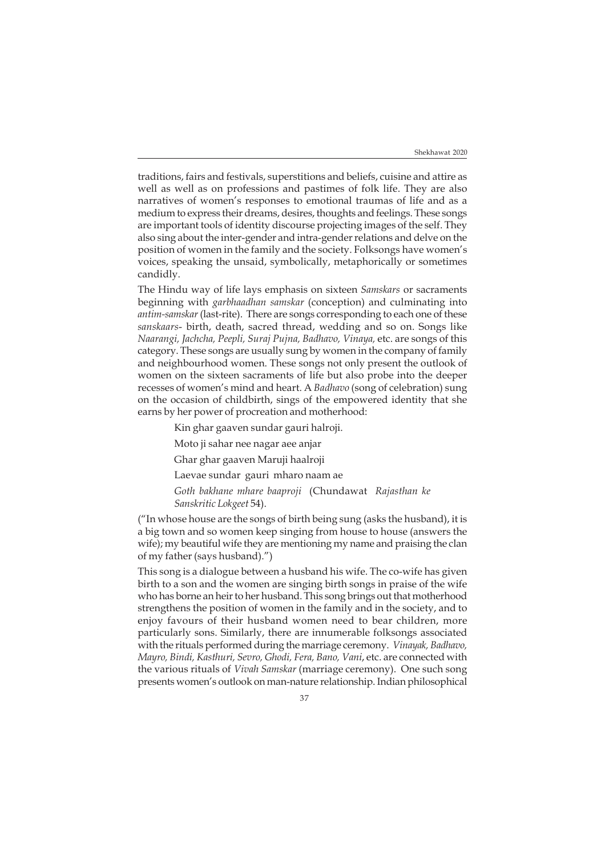traditions, fairs and festivals, superstitions and beliefs, cuisine and attire as well as well as on professions and pastimes of folk life. They are also narratives of women's responses to emotional traumas of life and as a medium to express their dreams, desires, thoughts and feelings. These songs are important tools of identity discourse projecting images of the self. They also sing about the inter-gender and intra-gender relations and delve on the position of women in the family and the society. Folksongs have women's voices, speaking the unsaid, symbolically, metaphorically or sometimes candidly.

The Hindu way of life lays emphasis on sixteen *Samskars* or sacraments beginning with *garbhaadhan samskar* (conception) and culminating into *antim-samskar* (last-rite). There are songs corresponding to each one of these *sanskaars*- birth, death, sacred thread, wedding and so on. Songs like *Naarangi, Jachcha, Peepli, Suraj Pujna, Badhavo, Vinaya,* etc. are songs of this category. These songs are usually sung by women in the company of family and neighbourhood women. These songs not only present the outlook of women on the sixteen sacraments of life but also probe into the deeper recesses of women's mind and heart. A *Badhavo* (song of celebration) sung on the occasion of childbirth, sings of the empowered identity that she earns by her power of procreation and motherhood:

Kin ghar gaaven sundar gauri halroji.

Moto ji sahar nee nagar aee anjar

Ghar ghar gaaven Maruji haalroji

Laevae sundar gauri mharo naam ae

*Goth bakhane mhare baaproji* (Chundawat *Rajasthan ke Sanskritic Lokgeet* 54).

("In whose house are the songs of birth being sung (asks the husband), it is a big town and so women keep singing from house to house (answers the wife); my beautiful wife they are mentioning my name and praising the clan of my father (says husband).")

This song is a dialogue between a husband his wife. The co-wife has given birth to a son and the women are singing birth songs in praise of the wife who has borne an heir to her husband. This song brings out that motherhood strengthens the position of women in the family and in the society, and to enjoy favours of their husband women need to bear children, more particularly sons. Similarly, there are innumerable folksongs associated with the rituals performed during the marriage ceremony. *Vinayak, Badhavo, Mayro, Bindi, Kasthuri, Sevro, Ghodi, Fera, Bano, Vani*, etc. are connected with the various rituals of *Vivah Samskar* (marriage ceremony). One such song presents women's outlook on man-nature relationship. Indian philosophical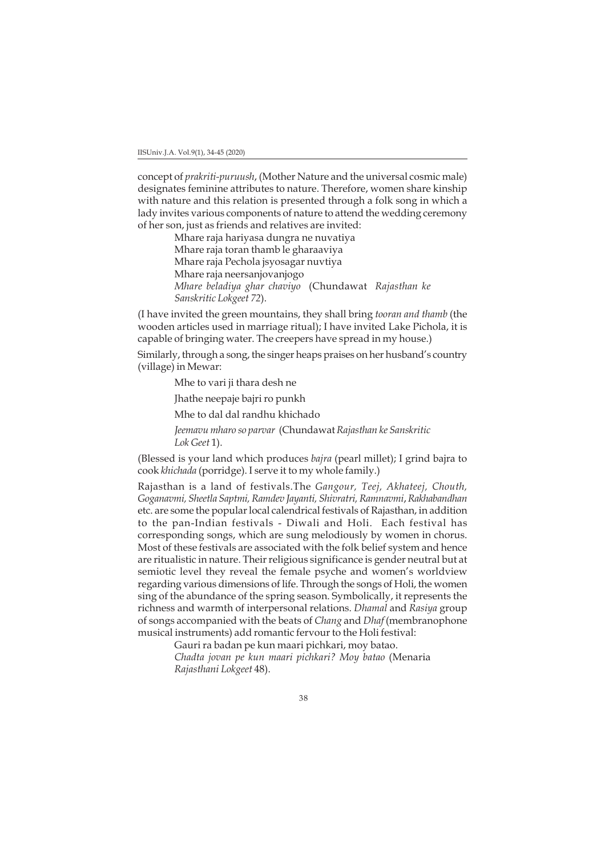concept of *prakriti-puruush*, (Mother Nature and the universal cosmic male) designates feminine attributes to nature. Therefore, women share kinship with nature and this relation is presented through a folk song in which a lady invites various components of nature to attend the wedding ceremony of her son, just as friends and relatives are invited:

> Mhare raja hariyasa dungra ne nuvatiya Mhare raja toran thamb le gharaaviya Mhare raja Pechola jsyosagar nuvtiya Mhare raja neersanjovanjogo *Mhare beladiya ghar chaviyo* (Chundawat *Rajasthan ke Sanskritic Lokgeet 72*).

(I have invited the green mountains, they shall bring *tooran and thamb* (the wooden articles used in marriage ritual); I have invited Lake Pichola, it is capable of bringing water. The creepers have spread in my house.)

Similarly, through a song, the singer heaps praises on her husband's country (village) in Mewar:

Mhe to vari ji thara desh ne

Jhathe neepaje bajri ro punkh

Mhe to dal dal randhu khichado

*Jeemavu mharo so parvar* (Chundawat *Rajasthan ke Sanskritic Lok Geet* 1).

(Blessed is your land which produces *bajra* (pearl millet); I grind bajra to cook *khichada* (porridge). I serve it to my whole family.)

Rajasthan is a land of festivals.The *Gangour, Teej, Akhateej, Chouth, Goganavmi, Sheetla Saptmi, Ramdev Jayanti, Shivratri, Ramnavmi*, *Rakhabandhan* etc. are some the popular local calendrical festivals of Rajasthan, in addition to the pan-Indian festivals - Diwali and Holi. Each festival has corresponding songs, which are sung melodiously by women in chorus. Most of these festivals are associated with the folk belief system and hence are ritualistic in nature. Their religious significance is gender neutral but at semiotic level they reveal the female psyche and women's worldview regarding various dimensions of life. Through the songs of Holi, the women sing of the abundance of the spring season. Symbolically, it represents the richness and warmth of interpersonal relations. *Dhamal* and *Rasiya* group of songs accompanied with the beats of *Chang* and *Dhaf* (membranophone musical instruments) add romantic fervour to the Holi festival:

Gauri ra badan pe kun maari pichkari, moy batao.

*Chadta jovan pe kun maari pichkari? Moy batao* (Menaria *Rajasthani Lokgeet* 48).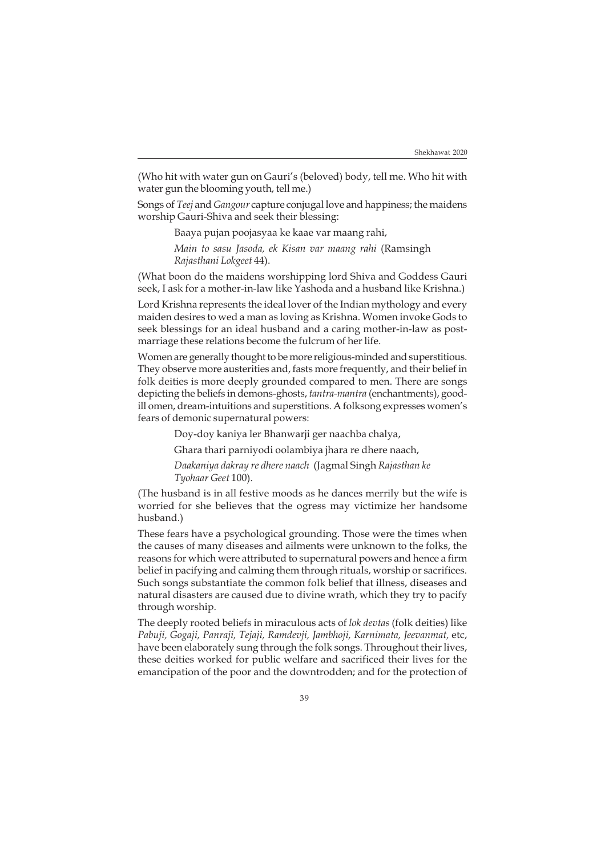(Who hit with water gun on Gauri's (beloved) body, tell me. Who hit with water gun the blooming youth, tell me.)

Songs of *Teej* and *Gangour* capture conjugal love and happiness; the maidens worship Gauri-Shiva and seek their blessing:

Baaya pujan poojasyaa ke kaae var maang rahi,

*Main to sasu Jasoda, ek Kisan var maang rahi* (Ramsingh *Rajasthani Lokgeet* 44).

(What boon do the maidens worshipping lord Shiva and Goddess Gauri seek, I ask for a mother-in-law like Yashoda and a husband like Krishna.)

Lord Krishna represents the ideal lover of the Indian mythology and every maiden desires to wed a man as loving as Krishna. Women invoke Gods to seek blessings for an ideal husband and a caring mother-in-law as postmarriage these relations become the fulcrum of her life.

Women are generally thought to be more religious-minded and superstitious. They observe more austerities and, fasts more frequently, and their belief in folk deities is more deeply grounded compared to men. There are songs depicting the beliefs in demons-ghosts, *tantra-mantra* (enchantments), goodill omen, dream-intuitions and superstitions. A folksong expresses women's fears of demonic supernatural powers:

Doy-doy kaniya ler Bhanwarji ger naachba chalya,

Ghara thari parniyodi oolambiya jhara re dhere naach,

*Daakaniya dakray re dhere naach* (Jagmal Singh *Rajasthan ke Tyohaar Geet* 100).

(The husband is in all festive moods as he dances merrily but the wife is worried for she believes that the ogress may victimize her handsome husband.)

These fears have a psychological grounding. Those were the times when the causes of many diseases and ailments were unknown to the folks, the reasons for which were attributed to supernatural powers and hence a firm belief in pacifying and calming them through rituals, worship or sacrifices. Such songs substantiate the common folk belief that illness, diseases and natural disasters are caused due to divine wrath, which they try to pacify through worship.

The deeply rooted beliefs in miraculous acts of *lok devtas* (folk deities) like *Pabuji, Gogaji, Panraji, Tejaji, Ramdevji, Jambhoji, Karnimata, Jeevanmat,* etc, have been elaborately sung through the folk songs. Throughout their lives, these deities worked for public welfare and sacrificed their lives for the emancipation of the poor and the downtrodden; and for the protection of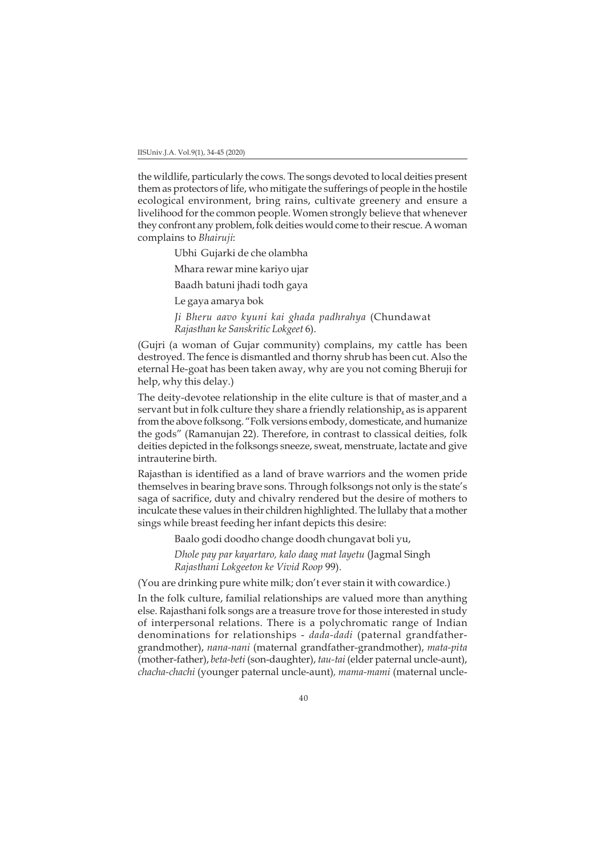the wildlife, particularly the cows. The songs devoted to local deities present them as protectors of life, who mitigate the sufferings of people in the hostile ecological environment, bring rains, cultivate greenery and ensure a livelihood for the common people. Women strongly believe that whenever they confront any problem, folk deities would come to their rescue. A woman complains to *Bhairuji*:

Ubhi Gujarki de che olambha

Mhara rewar mine kariyo ujar

Baadh batuni jhadi todh gaya

Le gaya amarya bok

*Ji Bheru aavo kyuni kai ghada padhrahya* (Chundawat *Rajasthan ke Sanskritic Lokgeet* 6).

(Gujri (a woman of Gujar community) complains, my cattle has been destroyed. The fence is dismantled and thorny shrub has been cut. Also the eternal He-goat has been taken away, why are you not coming Bheruji for help, why this delay.)

The deity-devotee relationship in the elite culture is that of master and a servant but in folk culture they share a friendly relationship, as is apparent from the above folksong. "Folk versions embody, domesticate, and humanize the gods" (Ramanujan 22). Therefore, in contrast to classical deities, folk deities depicted in the folksongs sneeze, sweat, menstruate, lactate and give intrauterine birth.

Rajasthan is identified as a land of brave warriors and the women pride themselves in bearing brave sons. Through folksongs not only is the state's saga of sacrifice, duty and chivalry rendered but the desire of mothers to inculcate these values in their children highlighted. The lullaby that a mother sings while breast feeding her infant depicts this desire:

Baalo godi doodho change doodh chungavat boli yu,

*Dhole pay par kayartaro, kalo daag mat layetu* (Jagmal Singh *Rajasthani Lokgeeton ke Vivid Roop* 99).

(You are drinking pure white milk; don't ever stain it with cowardice.)

In the folk culture, familial relationships are valued more than anything else. Rajasthani folk songs are a treasure trove for those interested in study of interpersonal relations. There is a polychromatic range of Indian denominations for relationships - *dada-dadi* (paternal grandfathergrandmother), *nana-nani* (maternal grandfather-grandmother), *mata-pita* (mother-father), *beta-beti* (son-daughter), *tau-tai* (elder paternal uncle-aunt), *chacha-chachi* (younger paternal uncle-aunt)*, mama-mami* (maternal uncle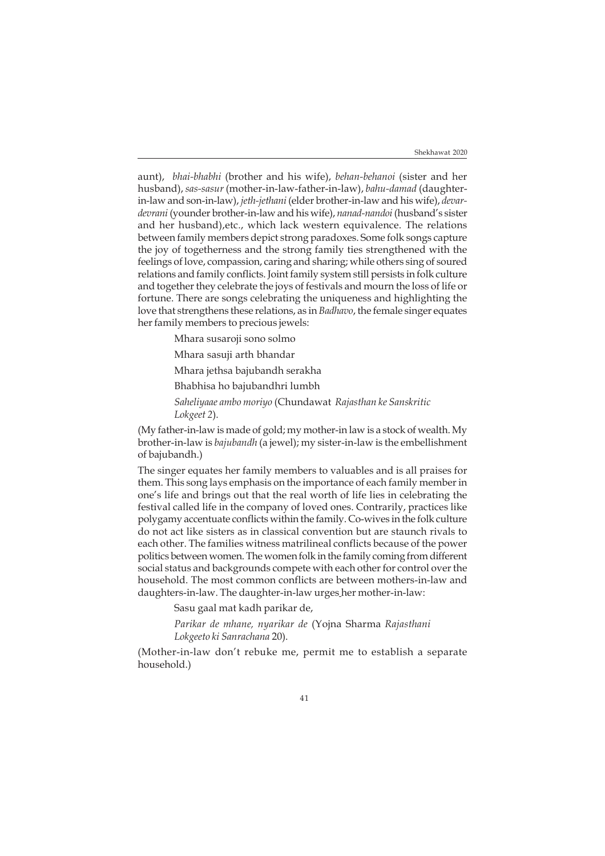aunt), *bhai-bhabhi* (brother and his wife), *behan-behanoi* (sister and her husband), *sas-sasur* (mother-in-law-father-in-law), *bahu-damad* (daughterin-law and son-in-law), *jeth-jethani* (elder brother-in-law and his wife), *devardevrani* (younder brother-in-law and his wife), *nanad-nandoi* (husband's sister and her husband),etc., which lack western equivalence. The relations between family members depict strong paradoxes. Some folk songs capture the joy of togetherness and the strong family ties strengthened with the feelings of love, compassion, caring and sharing; while others sing of soured relations and family conflicts. Joint family system still persists in folk culture and together they celebrate the joys of festivals and mourn the loss of life or fortune. There are songs celebrating the uniqueness and highlighting the love that strengthens these relations, as in *Badhavo*, the female singer equates her family members to precious jewels:

Mhara susaroji sono solmo

Mhara sasuji arth bhandar

Mhara jethsa bajubandh serakha

Bhabhisa ho bajubandhri lumbh

*Saheliyaae ambo moriyo* (Chundawat *Rajasthan ke Sanskritic Lokgeet 2*).

(My father-in-law is made of gold; my mother-in law is a stock of wealth. My brother-in-law is *bajubandh* (a jewel); my sister-in-law is the embellishment of bajubandh.)

The singer equates her family members to valuables and is all praises for them. This song lays emphasis on the importance of each family member in one's life and brings out that the real worth of life lies in celebrating the festival called life in the company of loved ones. Contrarily, practices like polygamy accentuate conflicts within the family. Co-wives in the folk culture do not act like sisters as in classical convention but are staunch rivals to each other. The families witness matrilineal conflicts because of the power politics between women. The women folk in the family coming from different social status and backgrounds compete with each other for control over the household. The most common conflicts are between mothers-in-law and daughters-in-law. The daughter-in-law urges her mother-in-law:

Sasu gaal mat kadh parikar de,

*Parikar de mhane, nyarikar de* (Yojna Sharma *Rajasthani Lokgeeto ki Sanrachana* 20).

(Mother-in-law don't rebuke me, permit me to establish a separate household.)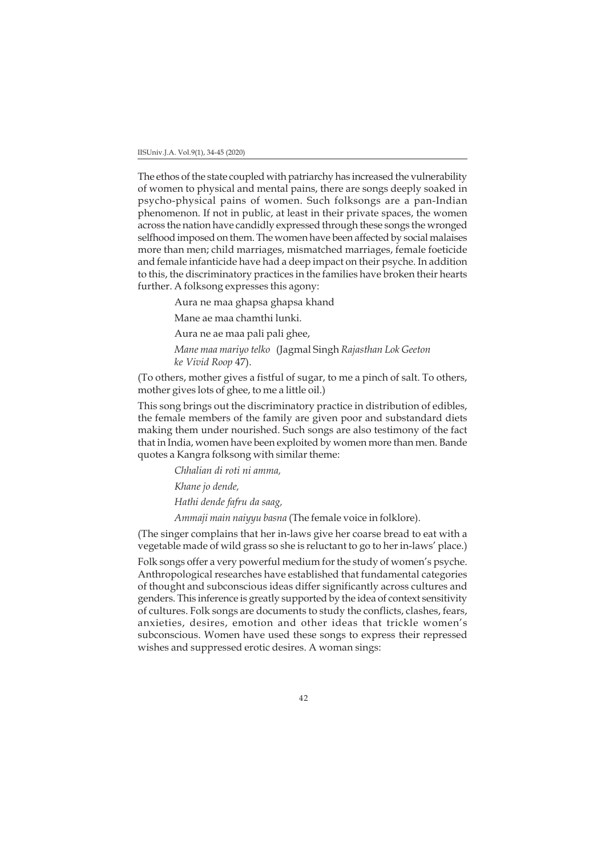The ethos of the state coupled with patriarchy has increased the vulnerability of women to physical and mental pains, there are songs deeply soaked in psycho-physical pains of women. Such folksongs are a pan-Indian phenomenon. If not in public, at least in their private spaces, the women across the nation have candidly expressed through these songs the wronged selfhood imposed on them. The women have been affected by social malaises more than men; child marriages, mismatched marriages, female foeticide and female infanticide have had a deep impact on their psyche. In addition to this, the discriminatory practices in the families have broken their hearts further. A folksong expresses this agony:

Aura ne maa ghapsa ghapsa khand

Mane ae maa chamthi lunki.

Aura ne ae maa pali pali ghee,

*Mane maa mariyo telko* (Jagmal Singh *Rajasthan Lok Geeton ke Vivid Roop* 47).

(To others, mother gives a fistful of sugar, to me a pinch of salt. To others, mother gives lots of ghee, to me a little oil.)

This song brings out the discriminatory practice in distribution of edibles, the female members of the family are given poor and substandard diets making them under nourished. Such songs are also testimony of the fact that in India, women have been exploited by women more than men. Bande quotes a Kangra folksong with similar theme:

> *Chhalian di roti ni amma, Khane jo dende, Hathi dende fafru da saag, Ammaji main naiyyu basna* (The female voice in folklore).

(The singer complains that her in-laws give her coarse bread to eat with a vegetable made of wild grass so she is reluctant to go to her in-laws' place.)

Folk songs offer a very powerful medium for the study of women's psyche. Anthropological researches have established that fundamental categories of thought and subconscious ideas differ significantly across cultures and genders. This inference is greatly supported by the idea of context sensitivity of cultures. Folk songs are documents to study the conflicts, clashes, fears, anxieties, desires, emotion and other ideas that trickle women's subconscious. Women have used these songs to express their repressed wishes and suppressed erotic desires. A woman sings: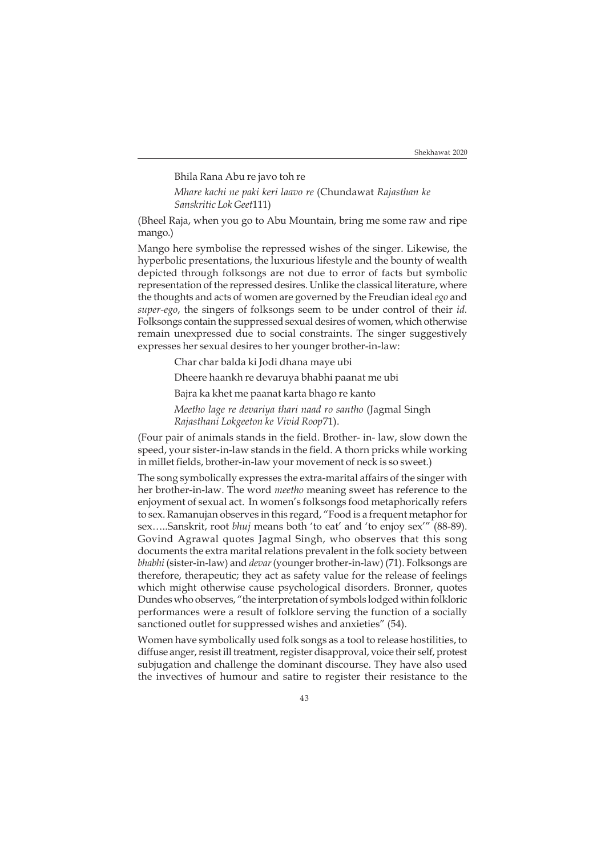### Bhila Rana Abu re javo toh re

*Mhare kachi ne paki keri laavo re* (Chundawat *Rajasthan ke Sanskritic Lok Geet*111)

(Bheel Raja, when you go to Abu Mountain, bring me some raw and ripe mango.)

Mango here symbolise the repressed wishes of the singer. Likewise, the hyperbolic presentations, the luxurious lifestyle and the bounty of wealth depicted through folksongs are not due to error of facts but symbolic representation of the repressed desires. Unlike the classical literature, where the thoughts and acts of women are governed by the Freudian ideal *ego* and *super-ego*, the singers of folksongs seem to be under control of their *id.* Folksongs contain the suppressed sexual desires of women, which otherwise remain unexpressed due to social constraints. The singer suggestively expresses her sexual desires to her younger brother-in-law:

Char char balda ki Jodi dhana maye ubi

Dheere haankh re devaruya bhabhi paanat me ubi

Bajra ka khet me paanat karta bhago re kanto

*Meetho lage re devariya thari naad ro santho* (Jagmal Singh *Rajasthani Lokgeeton ke Vivid Roop*71).

(Four pair of animals stands in the field. Brother- in- law, slow down the speed, your sister-in-law stands in the field. A thorn pricks while working in millet fields, brother-in-law your movement of neck is so sweet.)

The song symbolically expresses the extra-marital affairs of the singer with her brother-in-law. The word *meetho* meaning sweet has reference to the enjoyment of sexual act. In women's folksongs food metaphorically refers to sex. Ramanujan observes in this regard, "Food is a frequent metaphor for sex…..Sanskrit, root *bhuj* means both 'to eat' and 'to enjoy sex'" (88-89). Govind Agrawal quotes Jagmal Singh, who observes that this song documents the extra marital relations prevalent in the folk society between *bhabhi* (sister-in-law) and *devar* (younger brother-in-law) (71). Folksongs are therefore, therapeutic; they act as safety value for the release of feelings which might otherwise cause psychological disorders. Bronner, quotes Dundes who observes, "the interpretation of symbols lodged within folkloric performances were a result of folklore serving the function of a socially sanctioned outlet for suppressed wishes and anxieties" (54).

Women have symbolically used folk songs as a tool to release hostilities, to diffuse anger, resist ill treatment, register disapproval, voice their self, protest subjugation and challenge the dominant discourse. They have also used the invectives of humour and satire to register their resistance to the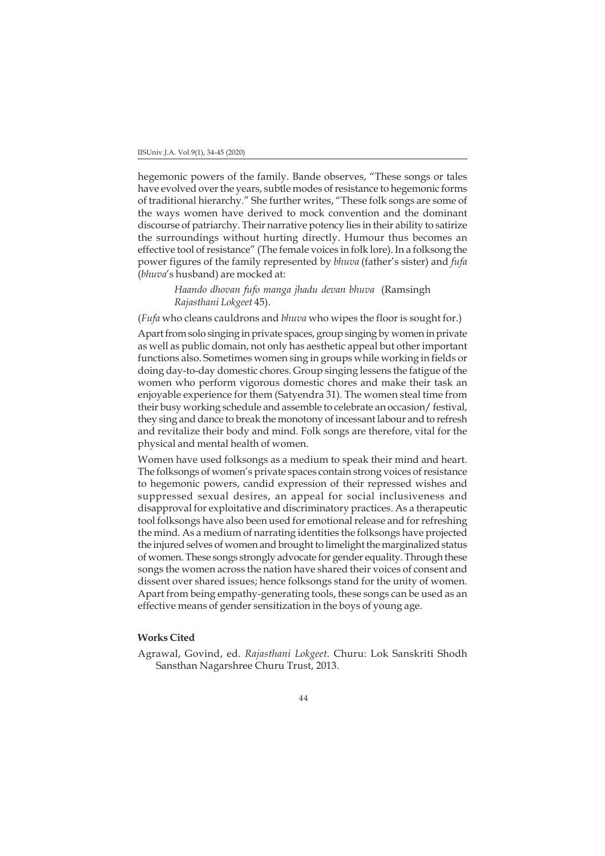hegemonic powers of the family. Bande observes, "These songs or tales have evolved over the years, subtle modes of resistance to hegemonic forms of traditional hierarchy." She further writes, "These folk songs are some of the ways women have derived to mock convention and the dominant discourse of patriarchy. Their narrative potency lies in their ability to satirize the surroundings without hurting directly. Humour thus becomes an effective tool of resistance" (The female voices in folk lore). In a folksong the power figures of the family represented by *bhuva* (father's sister) and *fufa* (*bhuva*'s husband) are mocked at:

> *Haando dhovan fufo manga jhadu devan bhuva* (Ramsingh *Rajasthani Lokgeet* 45).

(*Fufa* who cleans cauldrons and *bhuva* who wipes the floor is sought for.)

Apart from solo singing in private spaces, group singing by women in private as well as public domain, not only has aesthetic appeal but other important functions also. Sometimes women sing in groups while working in fields or doing day-to-day domestic chores. Group singing lessens the fatigue of the women who perform vigorous domestic chores and make their task an enjoyable experience for them (Satyendra 31). The women steal time from their busy working schedule and assemble to celebrate an occasion/ festival, they sing and dance to break the monotony of incessant labour and to refresh and revitalize their body and mind. Folk songs are therefore, vital for the physical and mental health of women.

Women have used folksongs as a medium to speak their mind and heart. The folksongs of women's private spaces contain strong voices of resistance to hegemonic powers, candid expression of their repressed wishes and suppressed sexual desires, an appeal for social inclusiveness and disapproval for exploitative and discriminatory practices. As a therapeutic tool folksongs have also been used for emotional release and for refreshing the mind. As a medium of narrating identities the folksongs have projected the injured selves of women and brought to limelight the marginalized status of women. These songs strongly advocate for gender equality. Through these songs the women across the nation have shared their voices of consent and dissent over shared issues; hence folksongs stand for the unity of women. Apart from being empathy-generating tools, these songs can be used as an effective means of gender sensitization in the boys of young age.

## **Works Cited**

Agrawal, Govind, ed. *Rajasthani Lokgeet*. Churu: Lok Sanskriti Shodh Sansthan Nagarshree Churu Trust, 2013.